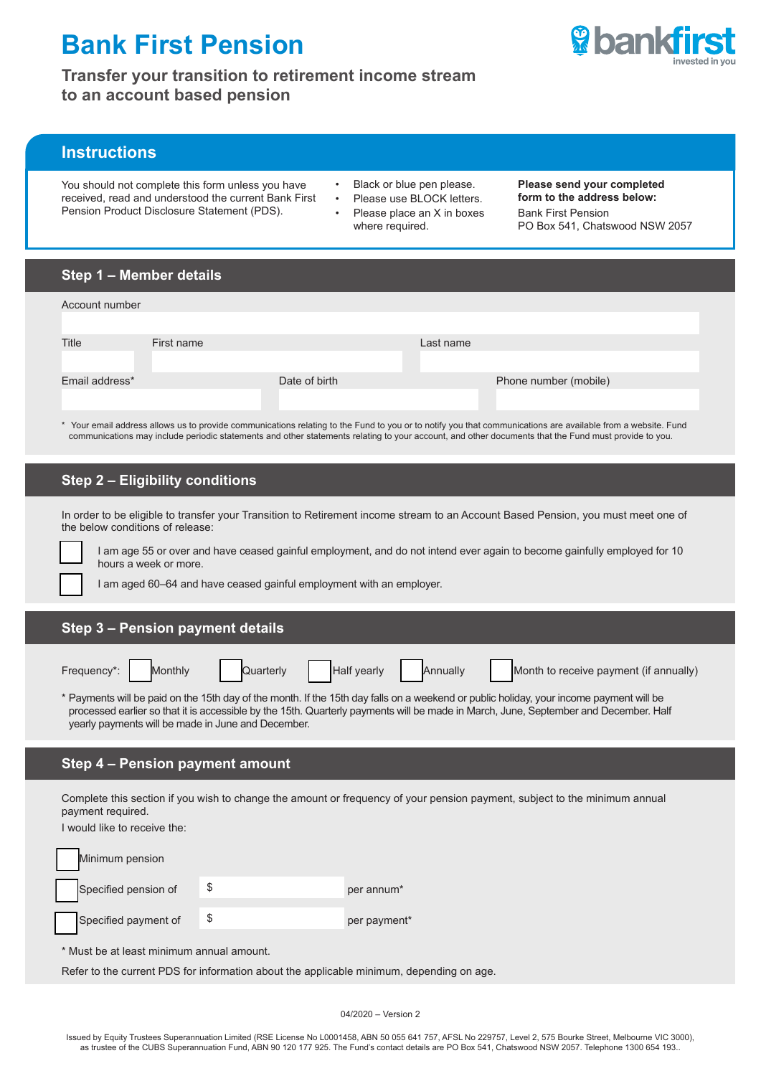# **Bank First Pension**



**Transfer your transition to retirement income stream to an account based pension**

# **Instructions**

You should not complete this form unless you have received, read and understood the current Bank First Pension Product Disclosure Statement (PDS).

- Black or blue pen please.
- Please use BLOCK letters.
- Please place an X in boxes where required.

#### **Please send your completed form to the address below:**

Bank First Pension PO Box 541, Chatswood NSW 2057

| Step 1 – Member details |  |
|-------------------------|--|
|-------------------------|--|

| Account number                                                                                                                                             |            |               |           |                       |
|------------------------------------------------------------------------------------------------------------------------------------------------------------|------------|---------------|-----------|-----------------------|
| Title                                                                                                                                                      | First name |               | Last name |                       |
|                                                                                                                                                            |            |               |           |                       |
| Email address*                                                                                                                                             |            | Date of birth |           | Phone number (mobile) |
| Your email address allows us to provide communications relating to the Fund to you or to potify you that communications are available from a website. Fund |            |               |           |                       |

\* Your email address allows us to provide communications relating to the Fund to you or to notify you that communications are available from a website. Fund communications may include periodic statements and other statements relating to your account, and other documents that the Fund must provide to you.

# **Step 2 – Eligibility conditions**

In order to be eligible to transfer your Transition to Retirement income stream to an Account Based Pension, you must meet one of the below conditions of release:

I am age 55 or over and have ceased gainful employment, and do not intend ever again to become gainfully employed for 10 hours a week or more.

I am aged 60–64 and have ceased gainful employment with an employer.

## **Step 3 – Pension payment details**

|  |  | Frequency*: Monthly Quarterly Half yearly Annually Month to receive payment (if annually)                                            |
|--|--|--------------------------------------------------------------------------------------------------------------------------------------|
|  |  | * Downants will be noid on the 45th dought the meanth. If the 45th double an a weakend or public beliday way income no meant will be |

Payments will be paid on the 15th day of the month. If the 15th day falls on a weekend or public holiday, your income payment will be processed earlier so that it is accessible by the 15th. Quarterly payments will be made in March, June, September and December. Half yearly payments will be made in June and December.

# **Step 4 – Pension payment amount**

Complete this section if you wish to change the amount or frequency of your pension payment, subject to the minimum annual payment required.

I would like to receive the:

| Minimum pension      |                        |
|----------------------|------------------------|
| Specified pension of | per annum <sup>*</sup> |
| Specified payment of | per payment*           |

\* Must be at least minimum annual amount.

Refer to the current PDS for information about the applicable minimum, depending on age.

04/2020 – Version 2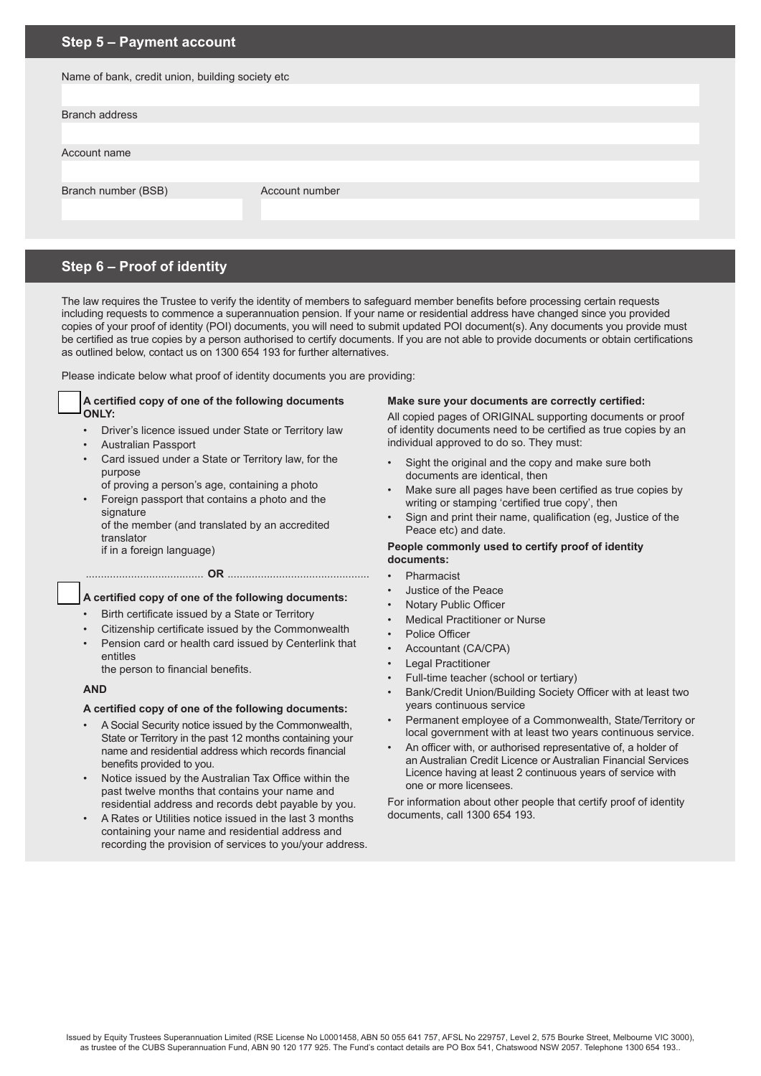## **Step 5 – Payment account**

| Name of bank, credit union, building society etc |                |  |  |
|--------------------------------------------------|----------------|--|--|
|                                                  |                |  |  |
| <b>Branch address</b>                            |                |  |  |
|                                                  |                |  |  |
| Account name                                     |                |  |  |
|                                                  |                |  |  |
| Branch number (BSB)                              | Account number |  |  |
|                                                  |                |  |  |
|                                                  |                |  |  |

# **Step 6 – Proof of identity**

The law requires the Trustee to verify the identity of members to safeguard member benefits before processing certain requests including requests to commence a superannuation pension. If your name or residential address have changed since you provided copies of your proof of identity (POI) documents, you will need to submit updated POI document(s). Any documents you provide must be certified as true copies by a person authorised to certify documents. If you are not able to provide documents or obtain certifications as outlined below, contact us on 1300 654 193 for further alternatives.

Please indicate below what proof of identity documents you are providing:

#### **A certified copy of one of the following documents ONLY:**

- Driver's licence issued under State or Territory law
- Australian Passport
- Card issued under a State or Territory law, for the purpose
	- of proving a person's age, containing a photo
- Foreign passport that contains a photo and the signature of the member (and translated by an accredited
- translator if in a foreign language)

#### ....................................... **OR** ...............................................

## **A certified copy of one of the following documents:**

- Birth certificate issued by a State or Territory
- Citizenship certificate issued by the Commonwealth
- Pension card or health card issued by Centerlink that entitles

the person to financial benefits.

## **AND**

## **A certified copy of one of the following documents:**

- A Social Security notice issued by the Commonwealth, State or Territory in the past 12 months containing your name and residential address which records financial benefits provided to you.
- Notice issued by the Australian Tax Office within the past twelve months that contains your name and residential address and records debt payable by you.
- A Rates or Utilities notice issued in the last 3 months containing your name and residential address and recording the provision of services to you/your address.

## **Make sure your documents are correctly certified:**

All copied pages of ORIGINAL supporting documents or proof of identity documents need to be certified as true copies by an individual approved to do so. They must:

- Sight the original and the copy and make sure both documents are identical, then
- Make sure all pages have been certified as true copies by writing or stamping 'certified true copy', then
- Sign and print their name, qualification (eg, Justice of the Peace etc) and date.

## **People commonly used to certify proof of identity documents:**

- Pharmacist
- Justice of the Peace
- Notary Public Officer
- **Medical Practitioner or Nurse**
- Police Officer
- Accountant (CA/CPA)
- Legal Practitioner
- Full-time teacher (school or tertiary)
- Bank/Credit Union/Building Society Officer with at least two years continuous service
- Permanent employee of a Commonwealth, State/Territory or local government with at least two years continuous service.
- An officer with, or authorised representative of, a holder of an Australian Credit Licence or Australian Financial Services Licence having at least 2 continuous years of service with one or more licensees.

For information about other people that certify proof of identity documents, call 1300 654 193.